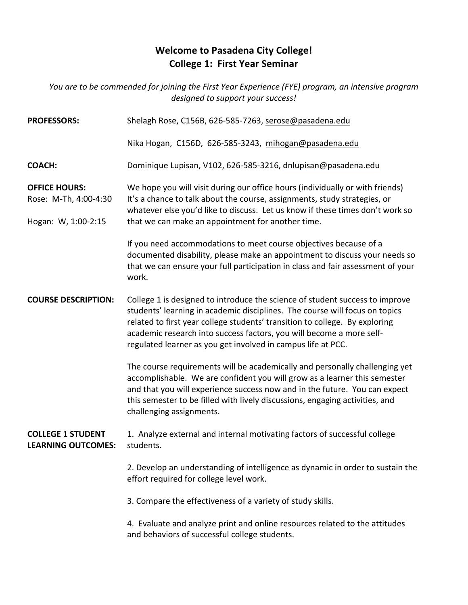## **Welcome to Pasadena City College! College 1: First Year Seminar**

*You are to be commended for joining the First Year Experience (FYE) program, an intensive program* designed to support your success!

| <b>PROFESSORS:</b>                                                   | Shelagh Rose, C156B, 626-585-7263, serose@pasadena.edu                                                                                                                                                                                                                                                                                                                             |
|----------------------------------------------------------------------|------------------------------------------------------------------------------------------------------------------------------------------------------------------------------------------------------------------------------------------------------------------------------------------------------------------------------------------------------------------------------------|
|                                                                      | Nika Hogan, C156D, 626-585-3243, mihogan@pasadena.edu                                                                                                                                                                                                                                                                                                                              |
| <b>COACH:</b>                                                        | Dominique Lupisan, V102, 626-585-3216, dnlupisan@pasadena.edu                                                                                                                                                                                                                                                                                                                      |
| <b>OFFICE HOURS:</b><br>Rose: M-Th, 4:00-4:30<br>Hogan: W, 1:00-2:15 | We hope you will visit during our office hours (individually or with friends)<br>It's a chance to talk about the course, assignments, study strategies, or<br>whatever else you'd like to discuss. Let us know if these times don't work so<br>that we can make an appointment for another time.                                                                                   |
|                                                                      | If you need accommodations to meet course objectives because of a<br>documented disability, please make an appointment to discuss your needs so<br>that we can ensure your full participation in class and fair assessment of your<br>work.                                                                                                                                        |
| <b>COURSE DESCRIPTION:</b>                                           | College 1 is designed to introduce the science of student success to improve<br>students' learning in academic disciplines. The course will focus on topics<br>related to first year college students' transition to college. By exploring<br>academic research into success factors, you will become a more self-<br>regulated learner as you get involved in campus life at PCC. |
|                                                                      | The course requirements will be academically and personally challenging yet<br>accomplishable. We are confident you will grow as a learner this semester<br>and that you will experience success now and in the future. You can expect<br>this semester to be filled with lively discussions, engaging activities, and<br>challenging assignments.                                 |
| <b>COLLEGE 1 STUDENT</b><br><b>LEARNING OUTCOMES:</b>                | 1. Analyze external and internal motivating factors of successful college<br>students.                                                                                                                                                                                                                                                                                             |
|                                                                      | 2. Develop an understanding of intelligence as dynamic in order to sustain the<br>effort required for college level work.                                                                                                                                                                                                                                                          |
|                                                                      | 3. Compare the effectiveness of a variety of study skills.                                                                                                                                                                                                                                                                                                                         |
|                                                                      | 4. Evaluate and analyze print and online resources related to the attitudes<br>and behaviors of successful college students.                                                                                                                                                                                                                                                       |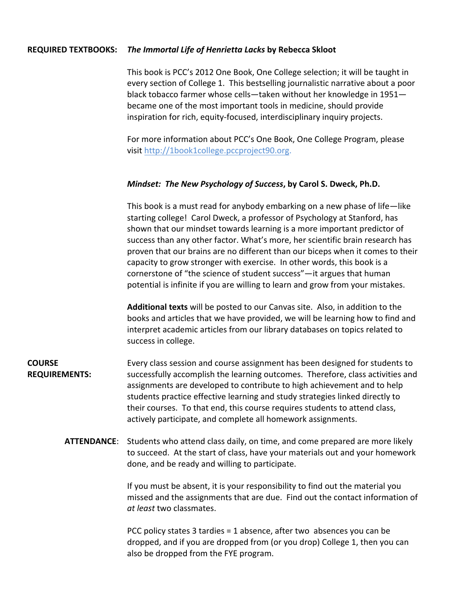## **REQUIRED TEXTBOOKS:** The Immortal Life of Henrietta Lacks by Rebecca Skloot

This book is PCC's 2012 One Book, One College selection; it will be taught in every section of College 1. This bestselling journalistic narrative about a poor black tobacco farmer whose cells—taken without her knowledge in 1951 became one of the most important tools in medicine, should provide inspiration for rich, equity-focused, interdisciplinary inquiry projects.

For more information about PCC's One Book, One College Program, please visit http://1book1college.pccproject90.org.

## *Mindset: The New Psychology of Success*, by Carol S. Dweck, Ph.D.

This book is a must read for anybody embarking on a new phase of life—like starting college! Carol Dweck, a professor of Psychology at Stanford, has shown that our mindset towards learning is a more important predictor of success than any other factor. What's more, her scientific brain research has proven that our brains are no different than our biceps when it comes to their capacity to grow stronger with exercise. In other words, this book is a cornerstone of "the science of student success"—it argues that human potential is infinite if you are willing to learn and grow from your mistakes.

**Additional texts** will be posted to our Canvas site. Also, in addition to the books and articles that we have provided, we will be learning how to find and interpret academic articles from our library databases on topics related to success in college.

**COURSE REQUIREMENTS:** Every class session and course assignment has been designed for students to successfully accomplish the learning outcomes. Therefore, class activities and assignments are developed to contribute to high achievement and to help students practice effective learning and study strategies linked directly to their courses. To that end, this course requires students to attend class, actively participate, and complete all homework assignments.

**ATTENDANCE:** Students who attend class daily, on time, and come prepared are more likely to succeed. At the start of class, have your materials out and your homework done, and be ready and willing to participate.

> If you must be absent, it is your responsibility to find out the material you missed and the assignments that are due. Find out the contact information of *at least* two classmates.

PCC policy states 3 tardies = 1 absence, after two absences you can be dropped, and if you are dropped from (or you drop) College 1, then you can also be dropped from the FYE program.